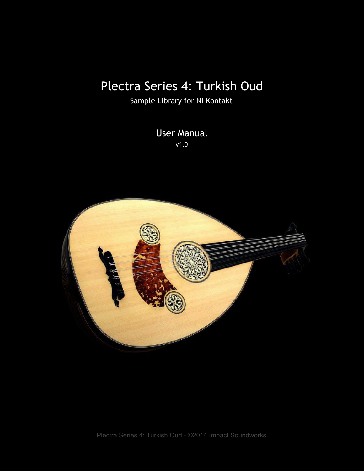# Plectra Series 4: Turkish Oud

Sample Library for NI Kontakt

User Manual v1.0

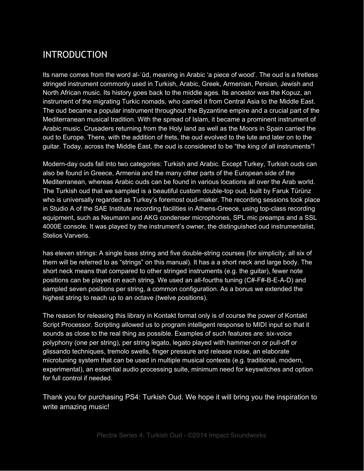### INTRODUCTION

Its name comes from the word al-ʿūd, meaning in Arabic 'a piece of wood'. The oud is a fretless stringed instrument commonly used in Turkish, Arabic, Greek, Armenian, Persian, Jewish and North African music. Its history goes back to the middle ages. Its ancestor was the Kopuz, an instrument of the migrating Turkic nomads, who carried it from Central Asia to the Middle East. The oud became a popular instrument throughout the Byzantine empire and a crucial part of the Mediterranean musical tradition. With the spread of Islam, it became a prominent instrument of Arabic music. Crusaders returning from the Holy land as well as the Moors in Spain carried the oud to Europe. There, with the addition of frets, the oud evolved to the lute and later on to the guitar. Today, across the Middle East, the oud is considered to be "the king of all instruments"!

Modern-day ouds fall into two categories: Turkish and Arabic. Except Turkey, Turkish ouds can also be found in Greece, Armenia and the many other parts of the European side of the Mediterranean, whereas Arabic ouds can be found in various locations all over the Arab world. The Turkish oud that we sampled is a beautiful custom double-top oud, built by Faruk Türünz who is universally regarded as Turkey's foremost oud-maker. The recording sessions took place in Studio A of the SAE Institute recording facilities in Athens-Greece, using top-class recording equipment, such as Neumann and AKG condenser microphones, SPL mic preamps and a SSL 4000E console. It was played by the instrument's owner, the distinguished oud instrumentalist, Stelios Varveris.

has eleven strings: A single bass string and five double-string courses (for simplicity, all six of them will be referred to as "strings" on this manual). It has a a short neck and large body. The short neck means that compared to other stringed instruments (e.g. the guitar), fewer note positions can be played on each string. We used an all-fourths tuning (C#-F#-B-E-A-D) and sampled seven positions per string, a common configuration. As a bonus we extended the highest string to reach up to an octave (twelve positions).

The reason for releasing this library in Kontakt format only is of course the power of Kontakt Script Processor. Scripting allowed us to program intelligent response to MIDI input so that it sounds as close to the real thing as possible. Examples of such features are: six-voice polyphony (one per string), per string legato, legato played with hammer-on or pull-off or glissando techniques, tremolo swells, finger pressure and release noise, an elaborate microtuning system that can be used in multiple musical contexts (e.g. traditional, modern, experimental), an essential audio processing suite, minimum need for keyswitches and option for full control if needed.

Thank you for purchasing PS4: Turkish Oud. We hope it will bring you the inspiration to write amazing music!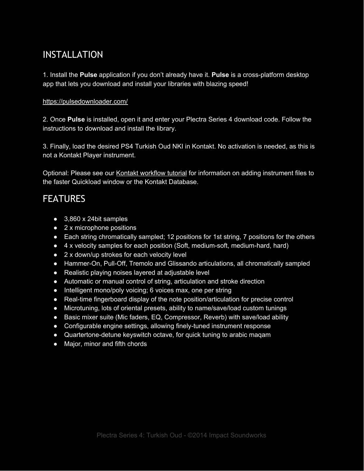### INSTALLATION

1. Install the **Pulse** application if you don't already have it. **Pulse** is a cross-platform desktop app that lets you download and install your libraries with blazing speed!

#### <https://pulsedownloader.com/>

2. Once **Pulse** is installed, open it and enter your Plectra Series 4 download code. Follow the instructions to download and install the library.

3. Finally, load the desired PS4 Turkish Oud NKI in Kontakt. No activation is needed, as this is not a Kontakt Player instrument.

Optional: Please see our [K](https://impactsoundworks.com/optimizing-your-kontakt-workflow-part-1/)ontakt [workflow](https://impactsoundworks.com/optimizing-your-kontakt-workflow-part-1/) tutorial for information on adding instrument files to the faster Quickload window or the Kontakt Database.

## FEATURES

- 3,860 x 24bit samples
- 2 x microphone positions
- Each string chromatically sampled; 12 positions for 1st string, 7 positions for the others
- 4 x velocity samples for each position (Soft, medium-soft, medium-hard, hard)
- 2 x down/up strokes for each velocity level
- Hammer-On, Pull-Off, Tremolo and Glissando articulations, all chromatically sampled
- Realistic playing noises layered at adjustable level
- Automatic or manual control of string, articulation and stroke direction
- Intelligent mono/poly voicing; 6 voices max, one per string
- Real-time fingerboard display of the note position/articulation for precise control
- Microtuning, lots of oriental presets, ability to name/save/load custom tunings
- Basic mixer suite (Mic faders, EQ, Compressor, Reverb) with save/load ability
- Configurable engine settings, allowing finely-tuned instrument response
- Quartertone-detune keyswitch octave, for quick tuning to arabic maqam
- Major, minor and fifth chords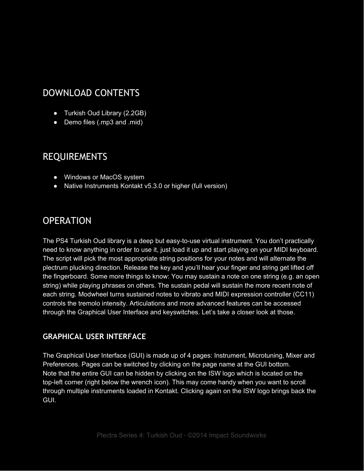### DOWNLOAD CONTENTS

- Turkish Oud Library (2.2GB)
- Demo files (.mp3 and .mid)

### REQUIREMENTS

- Windows or MacOS system
- Native Instruments Kontakt v5.3.0 or higher (full version)

### OPERATION

The PS4 Turkish Oud library is a deep but easy-to-use virtual instrument. You don't practically need to know anything in order to use it, just load it up and start playing on your MIDI keyboard. The script will pick the most appropriate string positions for your notes and will alternate the plectrum plucking direction. Release the key and you'll hear your finger and string get lifted off the fingerboard. Some more things to know: You may sustain a note on one string (e.g. an open string) while playing phrases on others. The sustain pedal will sustain the more recent note of each string. Modwheel turns sustained notes to vibrato and MIDI expression controller (CC11) controls the tremolo intensity. Articulations and more advanced features can be accessed through the Graphical User Interface and keyswitches. Let's take a closer look at those.

#### **GRAPHICAL USER INTERFACE**

The Graphical User Interface (GUI) is made up of 4 pages: Instrument, Microtuning, Mixer and Preferences. Pages can be switched by clicking on the page name at the GUI bottom. Note that the entire GUI can be hidden by clicking on the ISW logo which is located on the top-left corner (right below the wrench icon). This may come handy when you want to scroll through multiple instruments loaded in Kontakt. Clicking again on the ISW logo brings back the GUI.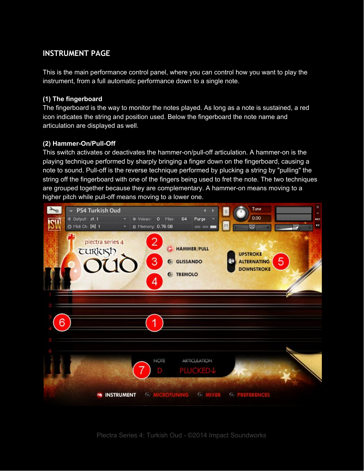#### **INSTRUMENT PAGE**

This is the main performance control panel, where you can control how you want to play the instrument, from a full automatic performance down to a single note.

#### **(1) The fingerboard**

The fingerboard is the way to monitor the notes played. As long as a note is sustained, a red icon indicates the string and position used. Below the fingerboard the note name and articulation are displayed as well.

#### **(2) Hammer-On/Pull-Off**

This switch activates or deactivates the hammer-on/pull-off articulation. A hammer-on is the playing technique performed by sharply bringing a finger down on the fingerboard, causing a note to sound. Pull-off is the reverse technique performed by plucking a string by "pulling" the string off the fingerboard with one of the fingers being used to fret the note. The two techniques are grouped together because they are complementary. A hammer-on means moving to a higher pitch while pull-off means moving to a lower one.

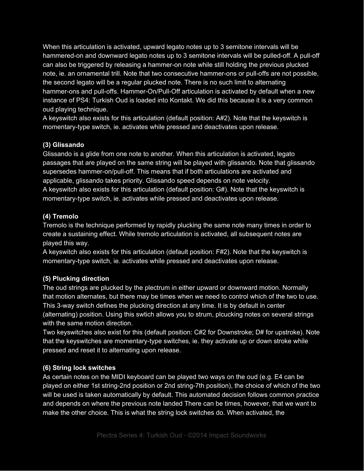When this articulation is activated, upward legato notes up to 3 semitone intervals will be hammered-on and downward legato notes up to 3 semitone intervals will be pulled-off. A pull-off can also be triggered by releasing a hammer-on note while still holding the previous plucked note, ie. an ornamental trill. Note that two consecutive hammer-ons or pull-offs are not possible, the second legato will be a regular plucked note. There is no such limit to alternating hammer-ons and pull-offs. Hammer-On/Pull-Off articulation is activated by default when a new instance of PS4: Turkish Oud is loaded into Kontakt. We did this because it is a very common oud playing technique.

A keyswitch also exists for this articulation (default position: A#2). Note that the keyswitch is momentary-type switch, ie. activates while pressed and deactivates upon release.

#### **(3) Glissando**

Glissando is a glide from one note to another. When this articulation is activated, legato passages that are played on the same string will be played with glissando. Note that glissando supersedes hammer-on/pull-off. This means that if both articulations are activated and applicable, glissando takes priority. Glissando speed depends on note velocity. A keyswitch also exists for this articulation (default position: G#). Note that the keyswitch is momentary-type switch, ie. activates while pressed and deactivates upon release.

#### **(4) Tremolo**

Tremolo is the technique performed by rapidly plucking the same note many times in order to create a sustaining effect. While tremolo articulation is activated, all subsequent notes are played this way.

A keyswitch also exists for this articulation (default position: F#2). Note that the keyswitch is momentary-type switch, ie. activates while pressed and deactivates upon release.

#### **(5) Plucking direction**

The oud strings are plucked by the plectrum in either upward or downward motion. Normally that motion alternates, but there may be times when we need to control which of the two to use. This 3-way switch defines the plucking direction at any time. It is by default in center (alternating) position. Using this swtich allows you to strum, plcucking notes on several strings with the same motion direction.

Two keyswitches also exist for this (default position: C#2 for Downstroke; D# for upstroke). Note that the keyswitches are momentary-type switches, ie. they activate up or down stroke while pressed and reset it to alternating upon release.

#### **(6) String lock switches**

As certain notes on the MIDI keyboard can be played two ways on the oud (e.g. E4 can be played on either 1st string-2nd position or 2nd string-7th position), the choice of which of the two will be used is taken automatically by default. This automated decision follows common practice and depends on where the previous note landed There can be times, however, that we want to make the other choice. This is what the string lock switches do. When activated, the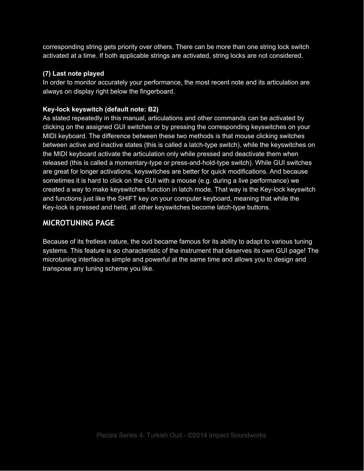corresponding string gets priority over others. There can be more than one string lock switch activated at a time. If both applicable strings are activated, string locks are not considered.

#### **(7) Last note played**

In order to monitor accurately your performance, the most recent note and its articulation are always on display right below the fingerboard.

#### **Key-lock keyswitch (default note: B2)**

As stated repeatedly in this manual, articulations and other commands can be activated by clicking on the assigned GUI switches or by pressing the corresponding keyswitches on your MIDI keyboard. The difference between these two methods is that mouse clicking switches between active and inactive states (this is called a latch-type switch), while the keyswitches on the MIDI keyboard activate the articulation only while pressed and deactivate them when released (this is called a momentary-type or press-and-hold-type switch). While GUI switches are great for longer activations, keyswitches are better for quick modifications. And because sometimes it is hard to click on the GUI with a mouse (e.g. during a live performance) we created a way to make keyswitches function in latch mode. That way is the Key-lock keyswitch and functions just like the SHIFT key on your computer keyboard, meaning that while the Key-lock is pressed and held, all other keyswitches become latch-type buttons.

#### **MICROTUNING PAGE**

Because of its fretless nature, the oud became famous for its ability to adapt to various tuning systems. This feature is so characteristic of the instrument that deserves its own GUI page! The microtuning interface is simple and powerful at the same time and allows you to design and transpose any tuning scheme you like.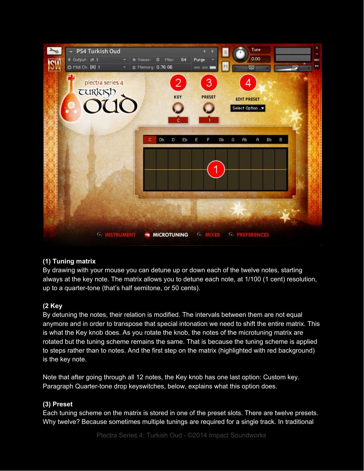

#### **(1) Tuning matrix**

By drawing with your mouse you can detune up or down each of the twelve notes, starting always at the key note. The matrix allows you to detune each note, at 1/100 (1 cent) resolution, up to a quarter-tone (that's half semitone, or 50 cents).

#### **(2 Key**

By detuning the notes, their relation is modified. The intervals between them are not equal anymore and in order to transpose that special intonation we need to shift the entire matrix. This is what the Key knob does. As you rotate the knob, the notes of the microtuning matrix are rotated but the tuning scheme remains the same. That is because the tuning scheme is applied to steps rather than to notes. And the first step on the matrix (highlighted with red background) is the key note.

Note that after going through all 12 notes, the Key knob has one last option: Custom key. Paragraph Quarter-tone drop keyswitches, below, explains what this option does.

#### **(3) Preset**

Each tuning scheme on the matrix is stored in one of the preset slots. There are twelve presets. Why twelve? Because sometimes multiple tunings are required for a single track. In traditional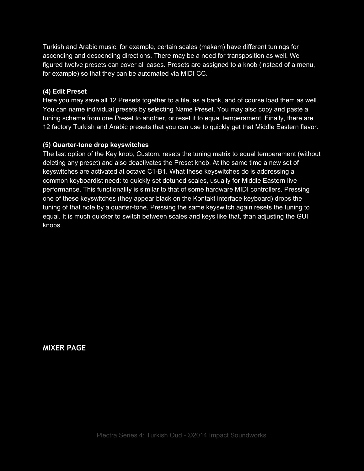Turkish and Arabic music, for example, certain scales (makam) have different tunings for ascending and descending directions. There may be a need for transposition as well. We figured twelve presets can cover all cases. Presets are assigned to a knob (instead of a menu, for example) so that they can be automated via MIDI CC.

#### **(4) Edit Preset**

Here you may save all 12 Presets together to a file, as a bank, and of course load them as well. You can name individual presets by selecting Name Preset. You may also copy and paste a tuning scheme from one Preset to another, or reset it to equal temperament. Finally, there are 12 factory Turkish and Arabic presets that you can use to quickly get that Middle Eastern flavor.

#### **(5) Quarter-tone drop keyswitches**

The last option of the Key knob, Custom, resets the tuning matrix to equal temperament (without deleting any preset) and also deactivates the Preset knob. At the same time a new set of keyswitches are activated at octave C1-B1. What these keyswitches do is addressing a common keyboardist need: to quickly set detuned scales, usually for Middle Eastern live performance. This functionality is similar to that of some hardware MIDI controllers. Pressing one of these keyswitches (they appear black on the Kontakt interface keyboard) drops the tuning of that note by a quarter-tone. Pressing the same keyswitch again resets the tuning to equal. It is much quicker to switch between scales and keys like that, than adjusting the GUI knobs.

**MIXER PAGE**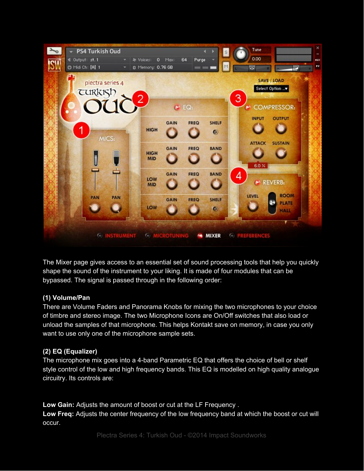

The Mixer page gives access to an essential set of sound processing tools that help you quickly shape the sound of the instrument to your liking. It is made of four modules that can be bypassed. The signal is passed through in the following order:

#### **(1) Volume/Pan**

There are Volume Faders and Panorama Knobs for mixing the two microphones to your choice of timbre and stereo image. The two Microphone Icons are On/Off switches that also load or unload the samples of that microphone. This helps Kontakt save on memory, in case you only want to use only one of the microphone sample sets.

#### **(2) EQ (Equalizer)**

The microphone mix goes into a 4-band Parametric EQ that offers the choice of bell or shelf style control of the low and high frequency bands. This EQ is modelled on high quality analogue circuitry. Its controls are:

**Low Gain:** Adjusts the amount of boost or cut at the LF Frequency . **Low Freq:** Adjusts the center frequency of the low frequency band at which the boost or cut will occur.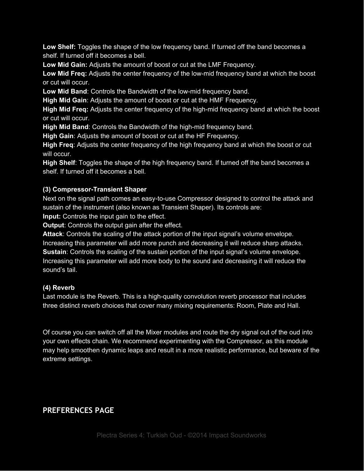**Low Shelf:** Toggles the shape of the low frequency band. If turned off the band becomes a shelf. If turned off it becomes a bell.

**Low Mid Gain:** Adjusts the amount of boost or cut at the LMF Frequency.

**Low Mid Freq:** Adjusts the center frequency of the low-mid frequency band at which the boost or cut will occur.

**Low Mid Band**: Controls the Bandwidth of the low-mid frequency band.

**High Mid Gain**: Adjusts the amount of boost or cut at the HMF Frequency.

**High Mid Freq:** Adjusts the center frequency of the high-mid frequency band at which the boost or cut will occur.

**High Mid Band**: Controls the Bandwidth of the high-mid frequency band.

**High Gain**: Adjusts the amount of boost or cut at the HF Frequency.

**High Freq**: Adjusts the center frequency of the high frequency band at which the boost or cut will occur.

**High Shelf**: Toggles the shape of the high frequency band. If turned off the band becomes a shelf. If turned off it becomes a bell.

#### **(3) Compressor-Transient Shaper**

Next on the signal path comes an easy-to-use Compressor designed to control the attack and sustain of the instrument (also known as Transient Shaper). Its controls are:

**Input:** Controls the input gain to the effect.

**Output:** Controls the output gain after the effect.

**Attack**: Controls the scaling of the attack portion of the input signal's volume envelope. Increasing this parameter will add more punch and decreasing it will reduce sharp attacks. **Sustain:** Controls the scaling of the sustain portion of the input signal's volume envelope. Increasing this parameter will add more body to the sound and decreasing it will reduce the sound's tail.

#### **(4) Reverb**

Last module is the Reverb. This is a high-quality convolution reverb processor that includes three distinct reverb choices that cover many mixing requirements: Room, Plate and Hall.

Of course you can switch off all the Mixer modules and route the dry signal out of the oud into your own effects chain. We recommend experimenting with the Compressor, as this module may help smoothen dynamic leaps and result in a more realistic performance, but beware of the extreme settings.

#### **PREFERENCES PAGE**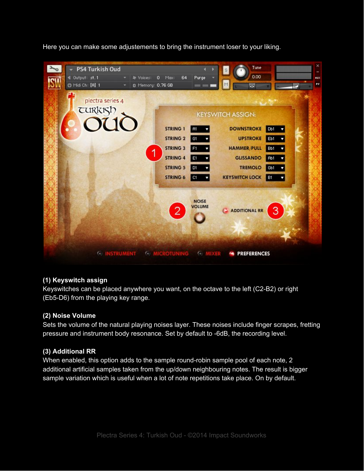Here you can make some adjustements to bring the instrument loser to your liking.



#### **(1) Keyswitch assign**

Keyswitches can be placed anywhere you want, on the octave to the left (C2-B2) or right (Eb5-D6) from the playing key range.

#### **(2) Noise Volume**

Sets the volume of the natural playing noises layer. These noises include finger scrapes, fretting pressure and instrument body resonance. Set by default to -6dB, the recording level.

#### **(3) Additional RR**

When enabled, this option adds to the sample round-robin sample pool of each note, 2 additional artificial samples taken from the up/down neighbouring notes. The result is bigger sample variation which is useful when a lot of note repetitions take place. On by default.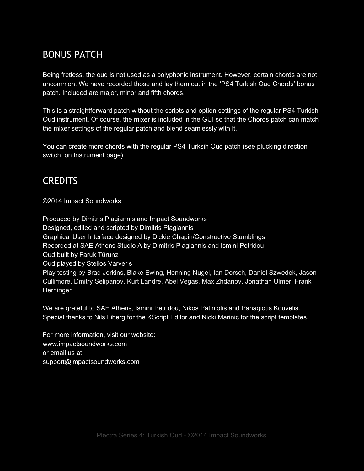# BONUS PATCH

Being fretless, the oud is not used as a polyphonic instrument. However, certain chords are not uncommon. We have recorded those and lay them out in the 'PS4 Turkish Oud Chords' bonus patch. Included are major, minor and fifth chords.

This is a straightforward patch without the scripts and option settings of the regular PS4 Turkish Oud instrument. Of course, the mixer is included in the GUI so that the Chords patch can match the mixer settings of the regular patch and blend seamlessly with it.

You can create more chords with the regular PS4 Turksih Oud patch (see plucking direction switch, on Instrument page).

### **CREDITS**

©2014 Impact Soundworks

Produced by Dimitris Plagiannis and Impact Soundworks Designed, edited and scripted by Dimitris Plagiannis Graphical User Interface designed by Dickie Chapin/Constructive Stumblings Recorded at SAE Athens Studio A by Dimitris Plagiannis and Ismini Petridou Oud built by Faruk Türünz Oud played by Stelios Varveris Play testing by Brad Jerkins, Blake Ewing, Henning Nugel, Ian Dorsch, Daniel Szwedek, Jason Cullimore, Dmitry Selipanov, Kurt Landre, Abel Vegas, Max Zhdanov, Jonathan Ulmer, Frank **Herrlinger** 

We are grateful to SAE Athens, Ismini Petridou, Nikos Patiniotis and Panagiotis Kouvelis. Special thanks to Nils Liberg for the KScript Editor and Nicki Marinic for the script templates.

For more information, visit our website: www.impactsoundworks.com or email us at: support@impactsoundworks.com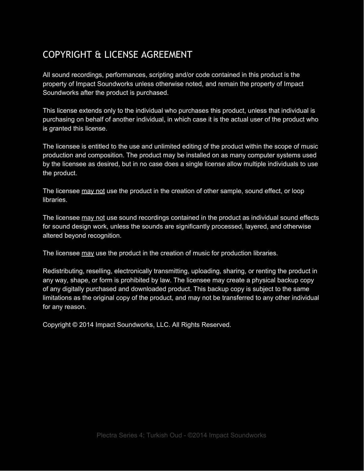# COPYRIGHT & LICENSE AGREEMENT

All sound recordings, performances, scripting and/or code contained in this product is the property of Impact Soundworks unless otherwise noted, and remain the property of Impact Soundworks after the product is purchased.

This license extends only to the individual who purchases this product, unless that individual is purchasing on behalf of another individual, in which case it is the actual user of the product who is granted this license.

The licensee is entitled to the use and unlimited editing of the product within the scope of music production and composition. The product may be installed on as many computer systems used by the licensee as desired, but in no case does a single license allow multiple individuals to use the product.

The licensee may not use the product in the creation of other sample, sound effect, or loop libraries.

The licensee may not use sound recordings contained in the product as individual sound effects for sound design work, unless the sounds are significantly processed, layered, and otherwise altered beyond recognition.

The licensee may use the product in the creation of music for production libraries.

Redistributing, reselling, electronically transmitting, uploading, sharing, or renting the product in any way, shape, or form is prohibited by law. The licensee may create a physical backup copy of any digitally purchased and downloaded product. This backup copy is subject to the same limitations as the original copy of the product, and may not be transferred to any other individual for any reason.

Copyright © 2014 Impact Soundworks, LLC. All Rights Reserved.